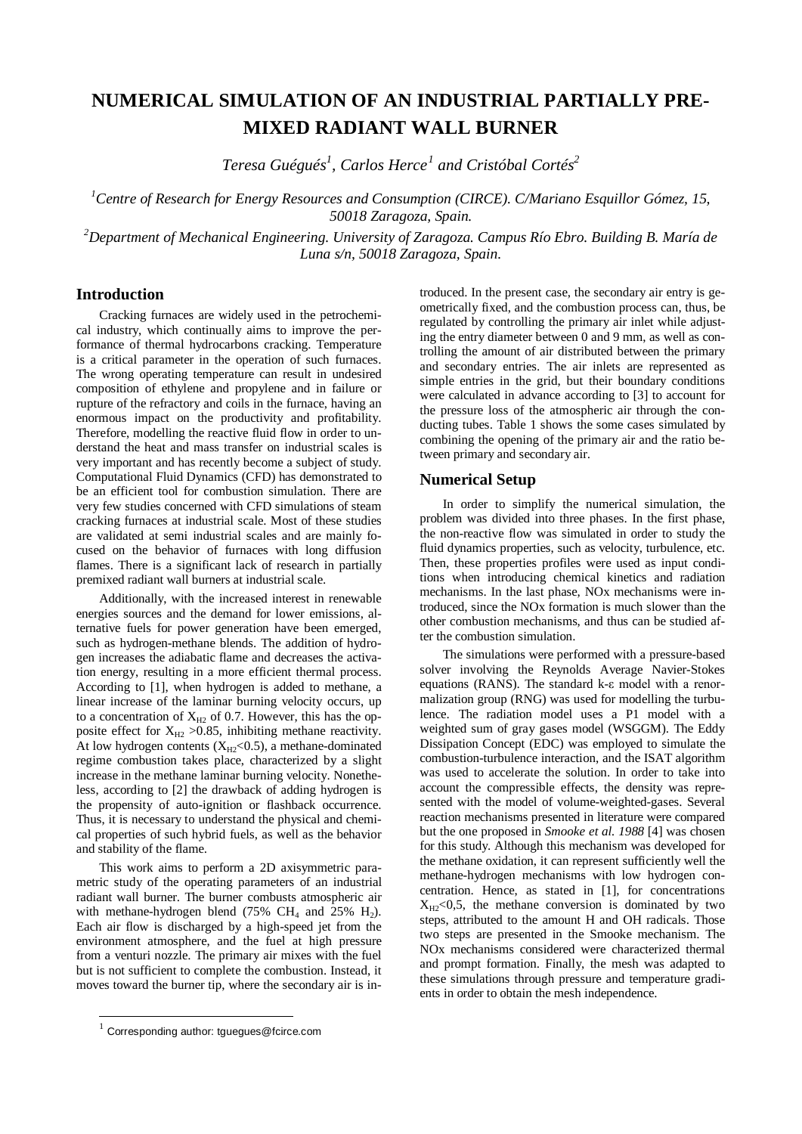# **NUMERICAL SIMULATION OF AN INDUSTRIAL PARTIALLY PRE-MIXED RADIANT WALL BURNER**

*Teresa Guégués1 , Carlos Herce[1](#page-0-0) and Cristóbal Cortés2*

*1 Centre of Research for Energy Resources and Consumption (CIRCE). C/Mariano Esquillor Gómez, 15, 50018 Zaragoza, Spain.*

*2 Department of Mechanical Engineering. University of Zaragoza. Campus Río Ebro. Building B. María de Luna s/n, 50018 Zaragoza, Spain.*

# **Introduction**

Cracking furnaces are widely used in the petrochemical industry, which continually aims to improve the performance of thermal hydrocarbons cracking. Temperature is a critical parameter in the operation of such furnaces. The wrong operating temperature can result in undesired composition of ethylene and propylene and in failure or rupture of the refractory and coils in the furnace, having an enormous impact on the productivity and profitability. Therefore, modelling the reactive fluid flow in order to understand the heat and mass transfer on industrial scales is very important and has recently become a subject of study. Computational Fluid Dynamics (CFD) has demonstrated to be an efficient tool for combustion simulation. There are very few studies concerned with CFD simulations of steam cracking furnaces at industrial scale. Most of these studies are validated at semi industrial scales and are mainly focused on the behavior of furnaces with long diffusion flames. There is a significant lack of research in partially premixed radiant wall burners at industrial scale.

Additionally, with the increased interest in renewable energies sources and the demand for lower emissions, alternative fuels for power generation have been emerged, such as hydrogen-methane blends. The addition of hydrogen increases the adiabatic flame and decreases the activation energy, resulting in a more efficient thermal process. According to [1], when hydrogen is added to methane, a linear increase of the laminar burning velocity occurs, up to a concentration of  $X_{H2}$  of 0.7. However, this has the opposite effect for  $X_{H2} > 0.85$ , inhibiting methane reactivity. At low hydrogen contents  $(X_{H2} < 0.5)$ , a methane-dominated regime combustion takes place, characterized by a slight increase in the methane laminar burning velocity. Nonetheless, according to [2] the drawback of adding hydrogen is the propensity of auto-ignition or flashback occurrence. Thus, it is necessary to understand the physical and chemical properties of such hybrid fuels, as well as the behavior and stability of the flame.

This work aims to perform a 2D axisymmetric parametric study of the operating parameters of an industrial radiant wall burner. The burner combusts atmospheric air with methane-hydrogen blend  $(75\% \text{ CH}_4 \text{ and } 25\% \text{ H}_2)$ . Each air flow is discharged by a high-speed jet from the environment atmosphere, and the fuel at high pressure from a venturi nozzle. The primary air mixes with the fuel but is not sufficient to complete the combustion. Instead, it moves toward the burner tip, where the secondary air is in-

-

troduced. In the present case, the secondary air entry is geometrically fixed, and the combustion process can, thus, be regulated by controlling the primary air inlet while adjusting the entry diameter between 0 and 9 mm, as well as controlling the amount of air distributed between the primary and secondary entries. The air inlets are represented as simple entries in the grid, but their boundary conditions were calculated in advance according to [3] to account for the pressure loss of the atmospheric air through the conducting tubes. Table 1 shows the some cases simulated by combining the opening of the primary air and the ratio between primary and secondary air.

## **Numerical Setup**

In order to simplify the numerical simulation, the problem was divided into three phases. In the first phase, the non-reactive flow was simulated in order to study the fluid dynamics properties, such as velocity, turbulence, etc. Then, these properties profiles were used as input conditions when introducing chemical kinetics and radiation mechanisms. In the last phase, NOx mechanisms were introduced, since the NOx formation is much slower than the other combustion mechanisms, and thus can be studied after the combustion simulation.

The simulations were performed with a pressure-based solver involving the Reynolds Average Navier-Stokes equations (RANS). The standard k-ε model with a renormalization group (RNG) was used for modelling the turbulence. The radiation model uses a P1 model with a weighted sum of gray gases model (WSGGM). The Eddy Dissipation Concept (EDC) was employed to simulate the combustion-turbulence interaction, and the ISAT algorithm was used to accelerate the solution. In order to take into account the compressible effects, the density was represented with the model of volume-weighted-gases. Several reaction mechanisms presented in literature were compared but the one proposed in *Smooke et al. 1988* [4] was chosen for this study. Although this mechanism was developed for the methane oxidation, it can represent sufficiently well the methane-hydrogen mechanisms with low hydrogen concentration. Hence, as stated in [1], for concentrations  $X_{H2}$ <0,5, the methane conversion is dominated by two steps, attributed to the amount H and OH radicals. Those two steps are presented in the Smooke mechanism. The NOx mechanisms considered were characterized thermal and prompt formation. Finally, the mesh was adapted to these simulations through pressure and temperature gradients in order to obtain the mesh independence.

<span id="page-0-0"></span> $1$  Corresponding author: tguegues@fcirce.com